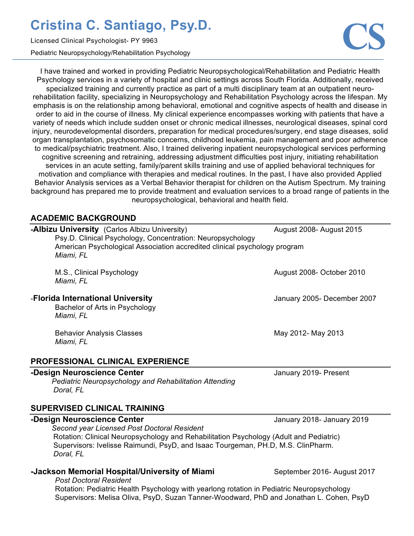Licensed Clinical Psychologist- PY 9963

Pediatric Neuropsychology/Rehabilitation Psychology

I have trained and worked in providing Pediatric Neuropsychological/Rehabilitation and Pediatric Health Psychology services in a variety of hospital and clinic settings across South Florida. Additionally, received specialized training and currently practice as part of a multi disciplinary team at an outpatient neurorehabilitation facility, specializing in Neuropsychology and Rehabilitation Psychology across the lifespan. My emphasis is on the relationship among behavioral, emotional and cognitive aspects of health and disease in order to aid in the course of illness. My clinical experience encompasses working with patients that have a variety of needs which include sudden onset or chronic medical illnesses, neurological diseases, spinal cord injury, neurodevelopmental disorders, preparation for medical procedures/surgery, end stage diseases, solid organ transplantation, psychosomatic concerns, childhood leukemia, pain management and poor adherence to medical/psychiatric treatment. Also, I trained delivering inpatient neuropsychological services performing cognitive screening and retraining, addressing adjustment difficulties post injury, initiating rehabilitation services in an acute setting, family/parent skills training and use of applied behavioral techniques for motivation and compliance with therapies and medical routines. In the past, I have also provided Applied Behavior Analysis services as a Verbal Behavior therapist for children on the Autism Spectrum. My training background has prepared me to provide treatment and evaluation services to a broad range of patients in the neuropsychological, behavioral and health field.

### **ACADEMIC BACKGROUND**

| <b>-Albizu University</b> (Carlos Albizu University)<br>Psy.D. Clinical Psychology, Concentration: Neuropsychology<br>American Psychological Association accredited clinical psychology program<br>Miami, FL | August 2008- August 2015    |
|--------------------------------------------------------------------------------------------------------------------------------------------------------------------------------------------------------------|-----------------------------|
| M.S., Clinical Psychology<br>Miami, FL                                                                                                                                                                       | August 2008- October 2010   |
| -Florida International University<br>Bachelor of Arts in Psychology<br>Miami, FL                                                                                                                             | January 2005- December 2007 |
| <b>Behavior Analysis Classes</b><br>Miami, FL                                                                                                                                                                | May 2012- May 2013          |
| <b>PROFESSIONAL CLINICAL EXPERIENCE</b>                                                                                                                                                                      |                             |
| -Design Neuroscience Center<br>Pediatric Neuropsychology and Rehabilitation Attending<br>Doral, FL                                                                                                           | January 2019- Present       |
| <b>SUPERVISED CLINICAL TRAINING</b>                                                                                                                                                                          |                             |
| -Design Neuroscience Center<br>Second year Licensed Post Doctoral Resident                                                                                                                                   | January 2018- January 2019  |
| Rotation: Clinical Neuropsychology and Rehabilitation Psychology (Adult and Pediatric)<br>Supervisors: Ivelisse Raimundi, PsyD, and Isaac Tourgeman, PH.D, M.S. ClinPharm.<br>Doral, FL                      |                             |
| -Jackson Memorial Hospital/University of Miami                                                                                                                                                               | September 2016- August 2017 |

*Post Doctoral Resident* Rotation: Pediatric Health Psychology with yearlong rotation in Pediatric Neuropsychology Supervisors: Melisa Oliva, PsyD, Suzan Tanner-Woodward, PhD and Jonathan L. Cohen, PsyD

**CS**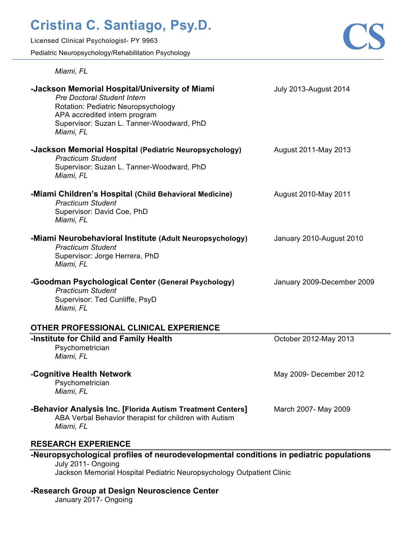Licensed Clinical Psychologist- PY 9963

Pediatric Neuropsychology/Rehabilitation Psychology



| Miami, FL                                                                                                                                                                                                                     |                              |
|-------------------------------------------------------------------------------------------------------------------------------------------------------------------------------------------------------------------------------|------------------------------|
| -Jackson Memorial Hospital/University of Miami<br><b>Pre Doctoral Student Intern</b><br><b>Rotation: Pediatric Neuropsychology</b><br>APA accredited intern program<br>Supervisor: Suzan L. Tanner-Woodward, PhD<br>Miami, FL | <b>July 2013-August 2014</b> |
| -Jackson Memorial Hospital (Pediatric Neuropsychology)<br><b>Practicum Student</b><br>Supervisor: Suzan L. Tanner-Woodward, PhD<br>Miami, FL                                                                                  | August 2011-May 2013         |
| -Miami Children's Hospital (Child Behavioral Medicine)<br><b>Practicum Student</b><br>Supervisor: David Coe, PhD<br>Miami, FL                                                                                                 | August 2010-May 2011         |
| -Miami Neurobehavioral Institute (Adult Neuropsychology)<br><b>Practicum Student</b><br>Supervisor: Jorge Herrera, PhD<br>Miami, FL                                                                                           | January 2010-August 2010     |
| -Goodman Psychological Center (General Psychology)<br><b>Practicum Student</b><br>Supervisor: Ted Cunliffe, PsyD<br>Miami, FL                                                                                                 | January 2009-December 2009   |
| OTHER PROFESSIONAL CLINICAL EXPERIENCE                                                                                                                                                                                        |                              |
| -Institute for Child and Family Health<br>Psychometrician<br>Miami, FL                                                                                                                                                        | October 2012-May 2013        |
| -Cognitive Health Network<br>Psychometrician<br>Miami, FL                                                                                                                                                                     | May 2009- December 2012      |

### **-Behavior Analysis Inc. [Florida Autism Treatment Centers]** March 2007- May 2009

ABA Verbal Behavior therapist for children with Autism *Miami, FL*

### **RESEARCH EXPERIENCE**

### **-Neuropsychological profiles of neurodevelopmental conditions in pediatric populations** July 2011- Ongoing

Jackson Memorial Hospital Pediatric Neuropsychology Outpatient Clinic

#### **-Research Group at Design Neuroscience Center**

January 2017- Ongoing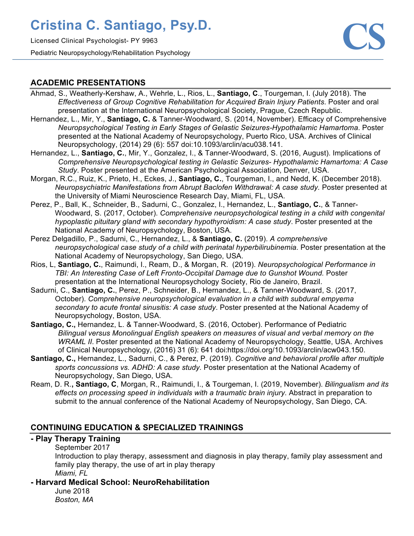Licensed Clinical Psychologist- PY 9963 Pediatric Neuropsychology/Rehabilitation Psychology



### **ACADEMIC PRESENTATIONS**

- Ahmad, S., Weatherly-Kershaw, A., Wehrle, L., Rios, L., **Santiago, C**., Tourgeman, I. (July 2018). The *Effectiveness of Group Cognitive Rehabilitation for Acquired Brain Injury Patients*. Poster and oral presentation at the International Neuropsychological Society, Prague, Czech Republic.
- Hernandez, L., Mir, Y., **Santiago, C.** & Tanner-Woodward, S. (2014, November). Efficacy of Comprehensive *Neuropsychological Testing in Early Stages of Gelastic Seizures-Hypothalamic Hamartoma*. Poster presented at the National Academy of Neuropsychology, Puerto Rico, USA. Archives of Clinical Neuropsychology, (2014) 29 (6): 557 doi:10.1093/arclin/acu038.141.
- Hernandez, L., **Santiago, C.**, Mir, Y., Gonzalez, I., & Tanner-Woodward, S. (2016, August). Implications of *Comprehensive Neuropsychological testing in Gelastic Seizures- Hypothalamic Hamartoma: A Case Study*. Poster presented at the American Psychological Association, Denver, USA.
- Morgan, R.C., Ruiz, K., Prieto, H., Eckes, J., **Santiago, C.**, Tourgeman, I., and Nedd, K. (December 2018). *Neuropsychiatric Manifestations from Abrupt Baclofen Withdrawal: A case study.* Poster presented at the University of Miami Neuroscience Research Day, Miami, FL, USA.
- Perez, P., Ball, K., Schneider, B., Sadurni, C., Gonzalez, I., Hernandez, L., **Santiago, C.**, & Tanner-Woodward, S. (2017, October). *Comprehensive neuropsychological testing in a child with congenital hypoplastic pituitary gland with secondary hypothyroidism: A case study*. Poster presented at the National Academy of Neuropsychology, Boston, USA.
- Perez Delgadillo, P., Sadurni, C., Hernandez, L., & **Santiago, C.** (2019). *A comprehensive neuropsychological case study of a child with perinatal hyperbilirubinemia.* Poster presentation at the National Academy of Neuropsychology, San Diego, USA.
- Rios, L, **Santiago, C.**, Raimundi, I., Ream, D., & Morgan, R. (2019). *Neuropsychological Performance in TBI: An Interesting Case of Left Fronto-Occipital Damage due to Gunshot Wound.* Poster presentation at the International Neuropsychology Society, Rio de Janeiro, Brazil.
- Sadurni, C., **Santiago, C.**, Perez, P., Schneider, B., Hernandez, L., & Tanner-Woodward, S. (2017, October). *Comprehensive neuropsychological evaluation in a child with subdural empyema secondary to acute frontal sinusitis: A case study*. Poster presented at the National Academy of Neuropsychology, Boston, USA.
- **Santiago, C.,** Hernandez, L. & Tanner-Woodward, S. (2016, October). Performance of Pediatric *Bilingual versus Monolingual English speakers on measures of visual and verbal memory on the WRAML II*. Poster presented at the National Academy of Neuropsychology, Seattle, USA. Archives of Clinical Neuropsychology, (2016) 31 (6): 641 doi:https://doi.org/10.1093/arclin/acw043.150.
- **Santiago, C.,** Hernandez, L., Sadurni, C., & Perez, P. (2019). *Cognitive and behavioral profile after multiple sports concussions vs. ADHD: A case study.* Poster presentation at the National Academy of Neuropsychology, San Diego, USA.
- Ream, D. R.**, Santiago, C**, Morgan, R., Raimundi, I., & Tourgeman, I. (2019, November). *Bilingualism and its effects on processing speed in individuals with a traumatic brain injury.* Abstract in preparation to submit to the annual conference of the National Academy of Neuropsychology, San Diego, CA.

### **CONTINUING EDUCATION & SPECIALIZED TRAININGS**

#### **- Play Therapy Training**

September 2017

Introduction to play therapy, assessment and diagnosis in play therapy, family play assessment and family play therapy, the use of art in play therapy *Miami, FL*

**- Harvard Medical School: NeuroRehabilitation**

June 2018 *Boston, MA*